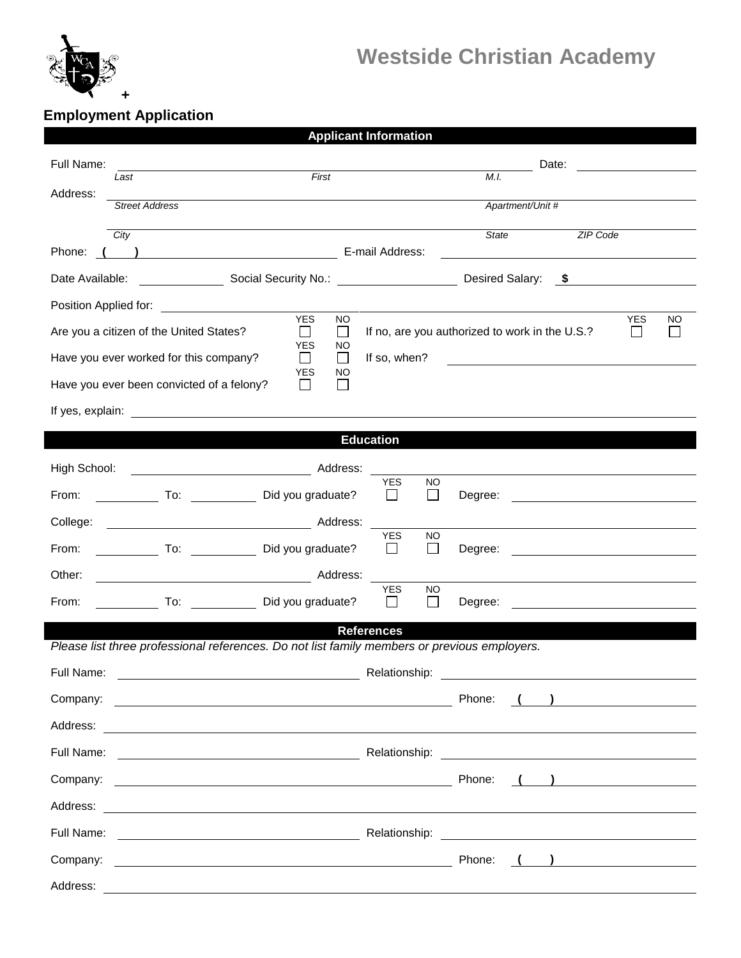

# **Westside Christian Academy**

## **Employment Application**

|                                                                                                                                                                                                                               |                                         | <b>Applicant Information</b>                            |                                                |                                                                                                         |     |  |  |
|-------------------------------------------------------------------------------------------------------------------------------------------------------------------------------------------------------------------------------|-----------------------------------------|---------------------------------------------------------|------------------------------------------------|---------------------------------------------------------------------------------------------------------|-----|--|--|
| Full Name:                                                                                                                                                                                                                    |                                         |                                                         | Date:                                          |                                                                                                         |     |  |  |
| Last<br>Address:                                                                                                                                                                                                              | First                                   |                                                         | M.I.                                           |                                                                                                         |     |  |  |
| <b>Street Address</b>                                                                                                                                                                                                         |                                         |                                                         | Apartment/Unit #                               |                                                                                                         |     |  |  |
| City                                                                                                                                                                                                                          |                                         |                                                         | State                                          | ZIP Code                                                                                                |     |  |  |
| Discovery Discovery Discovery Discovery Discovery Discovery Discovery Discovery Discovery Discovery Discovery D<br>Phone:                                                                                                     |                                         |                                                         |                                                |                                                                                                         |     |  |  |
| Social Security No.: <u>Containing</u><br>Date Available:                                                                                                                                                                     |                                         |                                                         | Desired Salary:                                | $\sim$                                                                                                  |     |  |  |
| Position Applied for: <u>______________________</u>                                                                                                                                                                           | <b>YES</b><br><b>NO</b>                 |                                                         |                                                | <b>YES</b>                                                                                              | NO. |  |  |
| Are you a citizen of the United States?                                                                                                                                                                                       | $\Box$<br>⊔                             |                                                         | If no, are you authorized to work in the U.S.? | $\perp$                                                                                                 |     |  |  |
| Have you ever worked for this company?                                                                                                                                                                                        | <b>YES</b><br>NO.<br>$\perp$<br>$\perp$ | If so, when?                                            |                                                |                                                                                                         |     |  |  |
| Have you ever been convicted of a felony?                                                                                                                                                                                     | <b>YES</b><br>NO.<br>ΙI<br>$\mathsf{L}$ |                                                         |                                                |                                                                                                         |     |  |  |
| If yes, explain: The state of the state of the state of the state of the state of the state of the state of the state of the state of the state of the state of the state of the state of the state of the state of the state |                                         |                                                         |                                                |                                                                                                         |     |  |  |
| <b>Education</b>                                                                                                                                                                                                              |                                         |                                                         |                                                |                                                                                                         |     |  |  |
| High School:                                                                                                                                                                                                                  |                                         |                                                         |                                                |                                                                                                         |     |  |  |
| Did you graduate?<br>From:                                                                                                                                                                                                    |                                         | <b>YES</b><br>NO<br>$\perp$<br>$\mathsf{L}$             | Degree:                                        |                                                                                                         |     |  |  |
| College:                                                                                                                                                                                                                      |                                         |                                                         |                                                |                                                                                                         |     |  |  |
| To: Did you graduate?<br>From:                                                                                                                                                                                                |                                         | <b>YES</b><br>NO<br>$\overline{\phantom{a}}$<br>$\perp$ |                                                |                                                                                                         |     |  |  |
|                                                                                                                                                                                                                               |                                         |                                                         | Degree:                                        | <u> 1980 - Johann Stoff, fransk politik (d. 1980)</u>                                                   |     |  |  |
| Other:                                                                                                                                                                                                                        |                                         | <b>YES</b><br>NO                                        |                                                |                                                                                                         |     |  |  |
| From:                                                                                                                                                                                                                         | To: Did you graduate?                   | $\perp$<br>$\perp$                                      | Degree:                                        |                                                                                                         |     |  |  |
| <b>References</b><br>Please list three professional references. Do not list family members or previous employers.                                                                                                             |                                         |                                                         |                                                |                                                                                                         |     |  |  |
| Full Name:<br>Relationship:                                                                                                                                                                                                   |                                         |                                                         |                                                |                                                                                                         |     |  |  |
|                                                                                                                                                                                                                               |                                         |                                                         | Phone:                                         | $\left(\begin{array}{c} \begin{array}{c} \begin{array}{c} \end{array}\\ \end{array}\right) \end{array}$ |     |  |  |
|                                                                                                                                                                                                                               |                                         |                                                         |                                                |                                                                                                         |     |  |  |
|                                                                                                                                                                                                                               |                                         |                                                         |                                                |                                                                                                         |     |  |  |
| Company:<br><u> 1980 - Johann Barnett, fransk politik (d. 1980)</u>                                                                                                                                                           |                                         |                                                         | Phone:                                         |                                                                                                         |     |  |  |
|                                                                                                                                                                                                                               |                                         |                                                         |                                                |                                                                                                         |     |  |  |
| Full Name:                                                                                                                                                                                                                    |                                         |                                                         |                                                |                                                                                                         |     |  |  |
| Company:                                                                                                                                                                                                                      |                                         |                                                         | Phone:                                         | $\begin{pmatrix} 1 & 1 \\ 1 & 1 \end{pmatrix}$                                                          |     |  |  |
|                                                                                                                                                                                                                               |                                         |                                                         |                                                |                                                                                                         |     |  |  |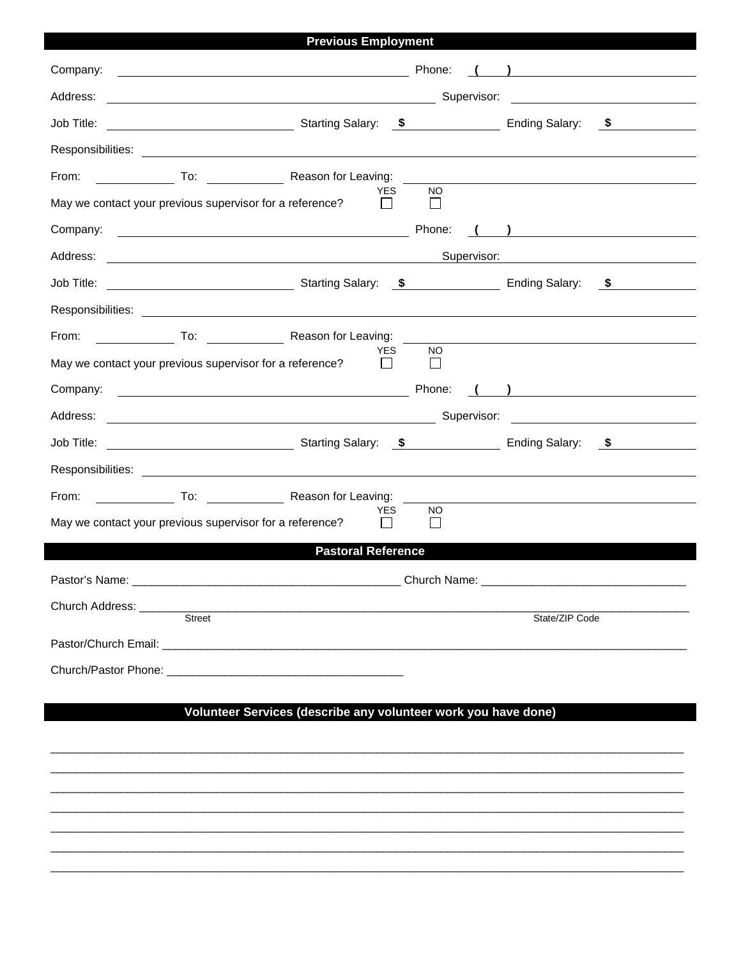| <b>Previous Employment</b>                                                                                                        |                                                                                                                                                                                                                                                                                                                                              |  |  |  |  |
|-----------------------------------------------------------------------------------------------------------------------------------|----------------------------------------------------------------------------------------------------------------------------------------------------------------------------------------------------------------------------------------------------------------------------------------------------------------------------------------------|--|--|--|--|
| Company:<br><u> 1980 - Johann Barbara, martin amerikan basar dan basa dan basar dan basar dalam basa dalam basa dalam basa da</u> | Phone:<br>$\overline{a}$ and $\overline{a}$ and $\overline{a}$ and $\overline{a}$ and $\overline{a}$ and $\overline{a}$ and $\overline{a}$ and $\overline{a}$ and $\overline{a}$ and $\overline{a}$ and $\overline{a}$ and $\overline{a}$ and $\overline{a}$ and $\overline{a}$ and $\overline{a}$ and $\overline{a}$ and $\overline{a}$ and |  |  |  |  |
| Address:<br><u> 1980 - Johann Barnett, fransk politik (f. 1980)</u>                                                               | Supervisor:<br><u> 1989 - Johann Barbara, martxa alemaniar a</u>                                                                                                                                                                                                                                                                             |  |  |  |  |
| Starting Salary: \$<br>Job Title:                                                                                                 | Ending Salary: \$                                                                                                                                                                                                                                                                                                                            |  |  |  |  |
|                                                                                                                                   |                                                                                                                                                                                                                                                                                                                                              |  |  |  |  |
| To: Reason for Leaving:<br>From:                                                                                                  |                                                                                                                                                                                                                                                                                                                                              |  |  |  |  |
| <b>YES</b><br>May we contact your previous supervisor for a reference?                                                            | <b>NO</b><br>$\perp$                                                                                                                                                                                                                                                                                                                         |  |  |  |  |
| Company:                                                                                                                          | Phone:<br>$\begin{pmatrix} 1 & 1 \end{pmatrix}$                                                                                                                                                                                                                                                                                              |  |  |  |  |
|                                                                                                                                   | Supervisor:                                                                                                                                                                                                                                                                                                                                  |  |  |  |  |
|                                                                                                                                   |                                                                                                                                                                                                                                                                                                                                              |  |  |  |  |
|                                                                                                                                   |                                                                                                                                                                                                                                                                                                                                              |  |  |  |  |
| From:<br>To: Reason for Leaving:                                                                                                  |                                                                                                                                                                                                                                                                                                                                              |  |  |  |  |
| <b>YES</b><br>May we contact your previous supervisor for a reference?                                                            | NO.<br>$\perp$                                                                                                                                                                                                                                                                                                                               |  |  |  |  |
|                                                                                                                                   | Phone:<br>$\begin{pmatrix} 1 & 1 \end{pmatrix}$                                                                                                                                                                                                                                                                                              |  |  |  |  |
|                                                                                                                                   | Supervisor:<br><u> 1989 - Jan James Stein, fransk politik (</u>                                                                                                                                                                                                                                                                              |  |  |  |  |
|                                                                                                                                   |                                                                                                                                                                                                                                                                                                                                              |  |  |  |  |
|                                                                                                                                   |                                                                                                                                                                                                                                                                                                                                              |  |  |  |  |
| From:<br>To: The Reason for Leaving:                                                                                              |                                                                                                                                                                                                                                                                                                                                              |  |  |  |  |
| <b>YES</b><br>May we contact your previous supervisor for a reference?                                                            | NO.<br>$\mathsf{L}$                                                                                                                                                                                                                                                                                                                          |  |  |  |  |
| <b>Pastoral Reference</b>                                                                                                         |                                                                                                                                                                                                                                                                                                                                              |  |  |  |  |
|                                                                                                                                   |                                                                                                                                                                                                                                                                                                                                              |  |  |  |  |
| Church Address: ______<br>Street                                                                                                  | State/ZIP Code                                                                                                                                                                                                                                                                                                                               |  |  |  |  |
|                                                                                                                                   |                                                                                                                                                                                                                                                                                                                                              |  |  |  |  |
|                                                                                                                                   |                                                                                                                                                                                                                                                                                                                                              |  |  |  |  |
|                                                                                                                                   |                                                                                                                                                                                                                                                                                                                                              |  |  |  |  |
| Volunteer Services (describe any volunteer work you have done)                                                                    |                                                                                                                                                                                                                                                                                                                                              |  |  |  |  |
|                                                                                                                                   |                                                                                                                                                                                                                                                                                                                                              |  |  |  |  |
|                                                                                                                                   |                                                                                                                                                                                                                                                                                                                                              |  |  |  |  |
|                                                                                                                                   |                                                                                                                                                                                                                                                                                                                                              |  |  |  |  |
|                                                                                                                                   |                                                                                                                                                                                                                                                                                                                                              |  |  |  |  |

 $\_$  ,  $\_$  ,  $\_$  ,  $\_$  ,  $\_$  ,  $\_$  ,  $\_$  ,  $\_$  ,  $\_$  ,  $\_$  ,  $\_$  ,  $\_$  ,  $\_$  ,  $\_$  ,  $\_$  ,  $\_$  ,  $\_$  ,  $\_$  ,  $\_$  ,  $\_$  ,  $\_$  ,  $\_$  ,  $\_$  ,  $\_$  ,  $\_$  ,  $\_$  ,  $\_$  ,  $\_$  ,  $\_$  ,  $\_$  ,  $\_$  ,  $\_$  ,  $\_$  ,  $\_$  ,  $\_$  ,  $\_$  ,  $\_$  ,

 $\_$  , and the set of the set of the set of the set of the set of the set of the set of the set of the set of the set of the set of the set of the set of the set of the set of the set of the set of the set of the set of th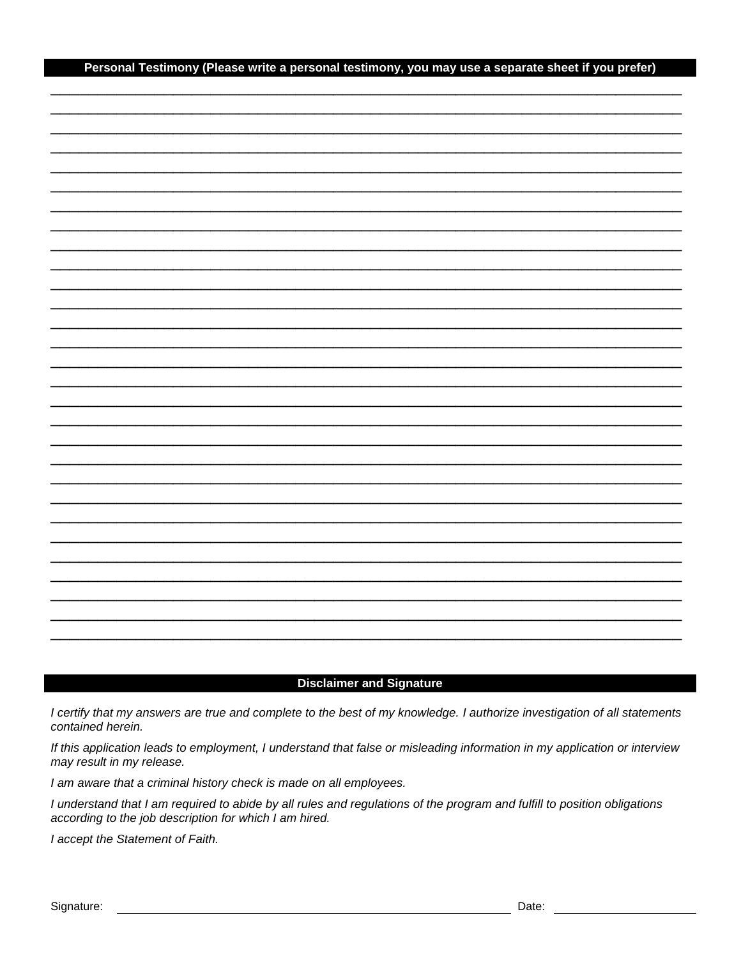#### Personal Testimony (Please write a personal testimony, you may use a separate sheet if you prefer)

### **Disclaimer and Signature**

I certify that my answers are true and complete to the best of my knowledge. I authorize investigation of all statements contained herein.

If this application leads to employment, I understand that false or misleading information in my application or interview may result in my release.

I am aware that a criminal history check is made on all employees.

I understand that I am required to abide by all rules and regulations of the program and fulfill to position obligations according to the job description for which I am hired.

I accept the Statement of Faith.